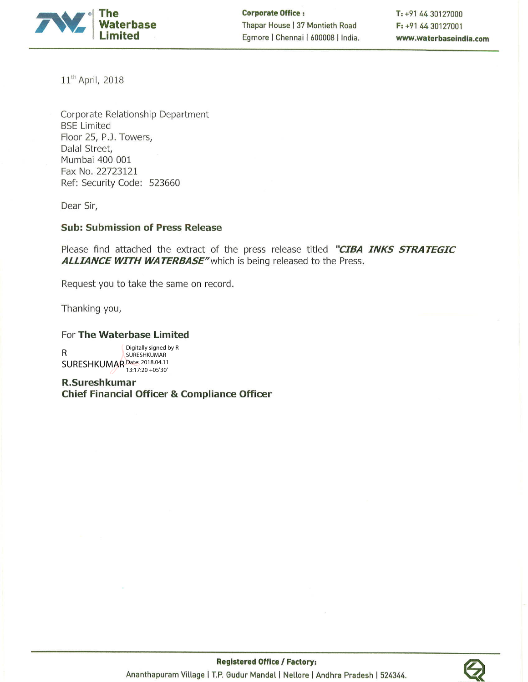

**Corporate Office:** Thapar House | 37 Montieth Road Egmore | Chennai | 600008 | India. T: +91 44 30127000 F: +91 44 30127001 www.waterbaseindia.com

11<sup>th</sup> April, 2018

Corporate Relationship Department **BSE Limited** Floor 25, P.J. Towers, Dalal Street, Mumbai 400 001 Fax No. 22723121 Ref: Security Code: 523660

Dear Sir,

## **Sub: Submission of Press Release**

Please find attached the extract of the press release titled "CIBA INKS STRATEGIC **ALLIANCE WITH WATERBASE"** which is being released to the Press.

Request you to take the same on record.

Thanking you,

### For The Waterbase Limited

Digitally signed by R  $\mathsf{R}$ **SURESHKUMAR** SURESHKUMAR Date: 2018.04.11

**R.Sureshkumar Chief Financial Officer & Compliance Officer**